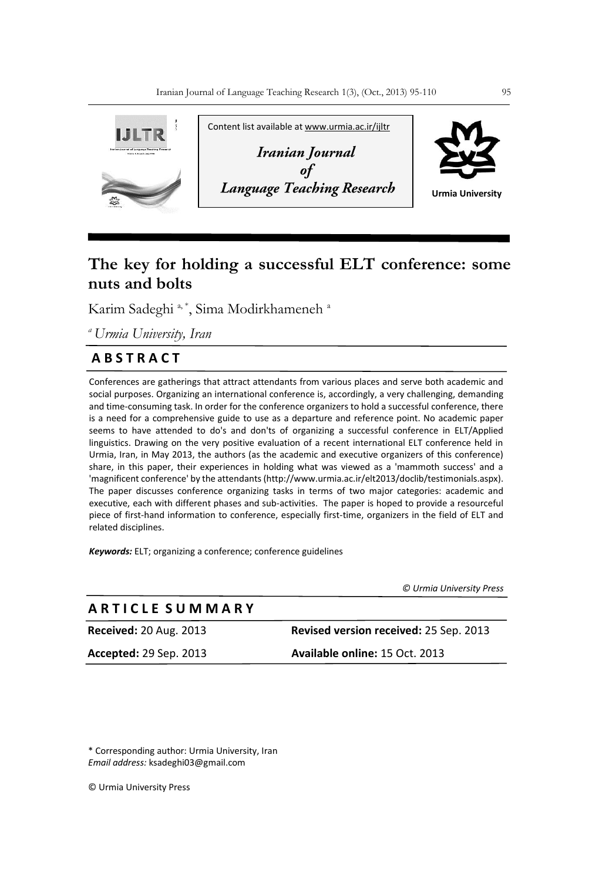

# **The key for holding a successful ELT conference: some nuts and bolts**

Karim Sadeghi<sup>a, \*</sup>, Sima Modirkhameneh<sup>a</sup>

*<sup>a</sup>Urmia University, Iran*

## **A B S T R A C T**

Conferences are gatherings that attract attendants from various places and serve both academic and social purposes. Organizing an international conference is, accordingly, a very challenging, demanding and time-consuming task. In order for the conference organizers to hold a successful conference, there is a need for a comprehensive guide to use as a departure and reference point. No academic paper seems to have attended to do's and don'ts of organizing a successful conference in ELT/Applied linguistics. Drawing on the very positive evaluation of a recent international ELT conference held in Urmia, Iran, in May 2013, the authors (as the academic and executive organizers of this conference) share, in this paper, their experiences in holding what was viewed as a 'mammoth success' and a 'magnificent conference' by the attendants [\(http://www.urmia.ac.ir/elt2013/doclib/testimonials.aspx\)](http://www.urmia.ac.ir/elt2013/doclib/testimonials.aspx). The paper discusses conference organizing tasks in terms of two major categories: academic and executive, each with different phases and sub-activities. The paper is hoped to provide a resourceful piece of first-hand information to conference, especially first-time, organizers in the field of ELT and related disciplines.

*Keywords:* ELT; organizing a conference; conference guidelines

*© Urmia University Press*

## **A R T I C L E S U M M A R Y**

**Received:** 20 Aug. 2013 **Revised version received:** 25 Sep. 2013 **Accepted:** 29 Sep. 2013 **Available online:** 15 Oct. 2013

\* Corresponding author: Urmia University, Iran *Email address:* ksadeghi03@gmail.com

© Urmia University Press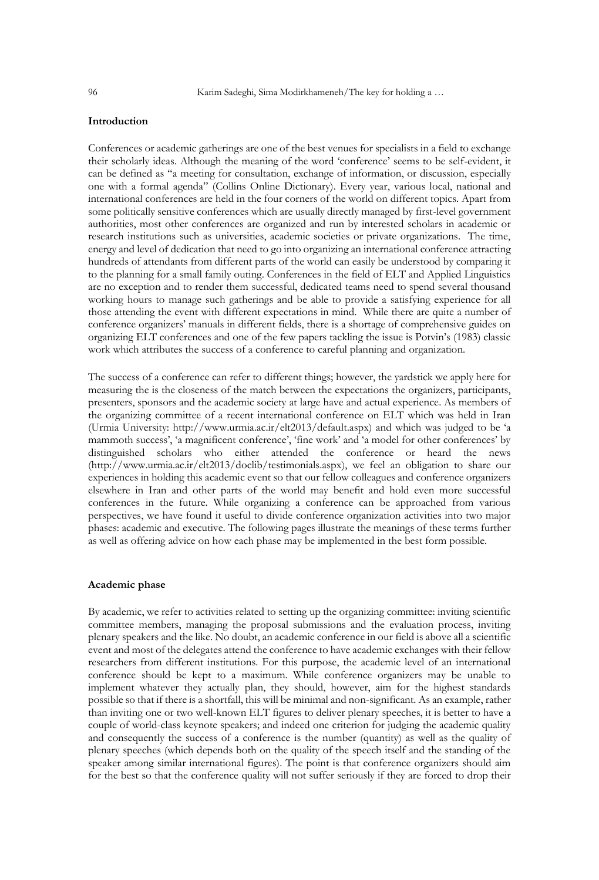## **Introduction**

Conferences or academic gatherings are one of the best venues for specialists in a field to exchange their scholarly ideas. Although the meaning of the word 'conference' seems to be self-evident, it can be defined as "a meeting for consultation, exchange of information, or discussion, especially one with a formal agenda" (Collins Online Dictionary). Every year, various local, national and international conferences are held in the four corners of the world on different topics. Apart from some politically sensitive conferences which are usually directly managed by first-level government authorities, most other conferences are organized and run by interested scholars in academic or research institutions such as universities, academic societies or private organizations. The time, energy and level of dedication that need to go into organizing an international conference attracting hundreds of attendants from different parts of the world can easily be understood by comparing it to the planning for a small family outing. Conferences in the field of ELT and Applied Linguistics are no exception and to render them successful, dedicated teams need to spend several thousand working hours to manage such gatherings and be able to provide a satisfying experience for all those attending the event with different expectations in mind. While there are quite a number of conference organizers' manuals in different fields, there is a shortage of comprehensive guides on organizing ELT conferences and one of the few papers tackling the issue is Potvin's (1983) classic work which attributes the success of a conference to careful planning and organization.

The success of a conference can refer to different things; however, the yardstick we apply here for measuring the is the closeness of the match between the expectations the organizers, participants, presenters, sponsors and the academic society at large have and actual experience. As members of the organizing committee of a recent international conference on ELT which was held in Iran (Urmia University:<http://www.urmia.ac.ir/elt2013/default.aspx>) and which was judged to be 'a mammoth success', 'a magnificent conference', 'fine work' and 'a model for other conferences' by distinguished scholars who either attended the conference or heard the news [\(http://www.urmia.ac.ir/elt2013/doclib/testimonials.aspx\)](http://www.urmia.ac.ir/elt2013/doclib/testimonials.aspx), we feel an obligation to share our experiences in holding this academic event so that our fellow colleagues and conference organizers elsewhere in Iran and other parts of the world may benefit and hold even more successful conferences in the future. While organizing a conference can be approached from various perspectives, we have found it useful to divide conference organization activities into two major phases: academic and executive. The following pages illustrate the meanings of these terms further as well as offering advice on how each phase may be implemented in the best form possible.

#### **Academic phase**

By academic, we refer to activities related to setting up the organizing committee: inviting scientific committee members, managing the proposal submissions and the evaluation process, inviting plenary speakers and the like. No doubt, an academic conference in our field is above all a scientific event and most of the delegates attend the conference to have academic exchanges with their fellow researchers from different institutions. For this purpose, the academic level of an international conference should be kept to a maximum. While conference organizers may be unable to implement whatever they actually plan, they should, however, aim for the highest standards possible so that if there is a shortfall, this will be minimal and non-significant. As an example, rather than inviting one or two well-known ELT figures to deliver plenary speeches, it is better to have a couple of world-class keynote speakers; and indeed one criterion for judging the academic quality and consequently the success of a conference is the number (quantity) as well as the quality of plenary speeches (which depends both on the quality of the speech itself and the standing of the speaker among similar international figures). The point is that conference organizers should aim for the best so that the conference quality will not suffer seriously if they are forced to drop their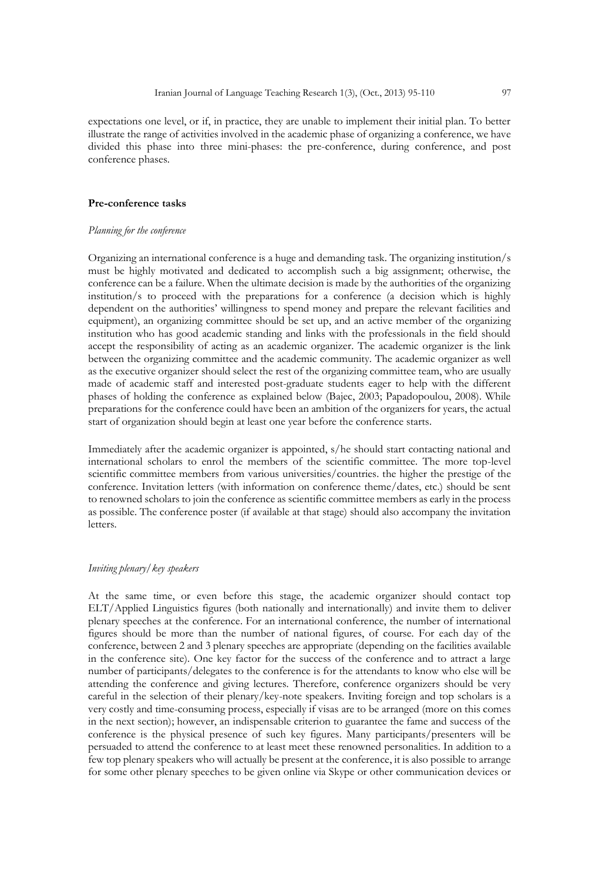expectations one level, or if, in practice, they are unable to implement their initial plan. To better illustrate the range of activities involved in the academic phase of organizing a conference, we have divided this phase into three mini-phases: the pre-conference, during conference, and post conference phases.

## **Pre-conference tasks**

#### *Planning for the conference*

Organizing an international conference is a huge and demanding task. The organizing institution/s must be highly motivated and dedicated to accomplish such a big assignment; otherwise, the conference can be a failure. When the ultimate decision is made by the authorities of the organizing institution/s to proceed with the preparations for a conference (a decision which is highly dependent on the authorities' willingness to spend money and prepare the relevant facilities and equipment), an organizing committee should be set up, and an active member of the organizing institution who has good academic standing and links with the professionals in the field should accept the responsibility of acting as an academic organizer. The academic organizer is the link between the organizing committee and the academic community. The academic organizer as well as the executive organizer should select the rest of the organizing committee team, who are usually made of academic staff and interested post-graduate students eager to help with the different phases of holding the conference as explained below (Bajec, 2003; Papadopoulou, 2008). While preparations for the conference could have been an ambition of the organizers for years, the actual start of organization should begin at least one year before the conference starts.

Immediately after the academic organizer is appointed, s/he should start contacting national and international scholars to enrol the members of the scientific committee. The more top-level scientific committee members from various universities/countries. the higher the prestige of the conference. Invitation letters (with information on conference theme/dates, etc.) should be sent to renowned scholars to join the conference as scientific committee members as early in the process as possible. The conference poster (if available at that stage) should also accompany the invitation letters.

## *Inviting plenary/key speakers*

At the same time, or even before this stage, the academic organizer should contact top ELT/Applied Linguistics figures (both nationally and internationally) and invite them to deliver plenary speeches at the conference. For an international conference, the number of international figures should be more than the number of national figures, of course. For each day of the conference, between 2 and 3 plenary speeches are appropriate (depending on the facilities available in the conference site). One key factor for the success of the conference and to attract a large number of participants/delegates to the conference is for the attendants to know who else will be attending the conference and giving lectures. Therefore, conference organizers should be very careful in the selection of their plenary/key-note speakers. Inviting foreign and top scholars is a very costly and time-consuming process, especially if visas are to be arranged (more on this comes in the next section); however, an indispensable criterion to guarantee the fame and success of the conference is the physical presence of such key figures. Many participants/presenters will be persuaded to attend the conference to at least meet these renowned personalities. In addition to a few top plenary speakers who will actually be present at the conference, it is also possible to arrange for some other plenary speeches to be given online via Skype or other communication devices or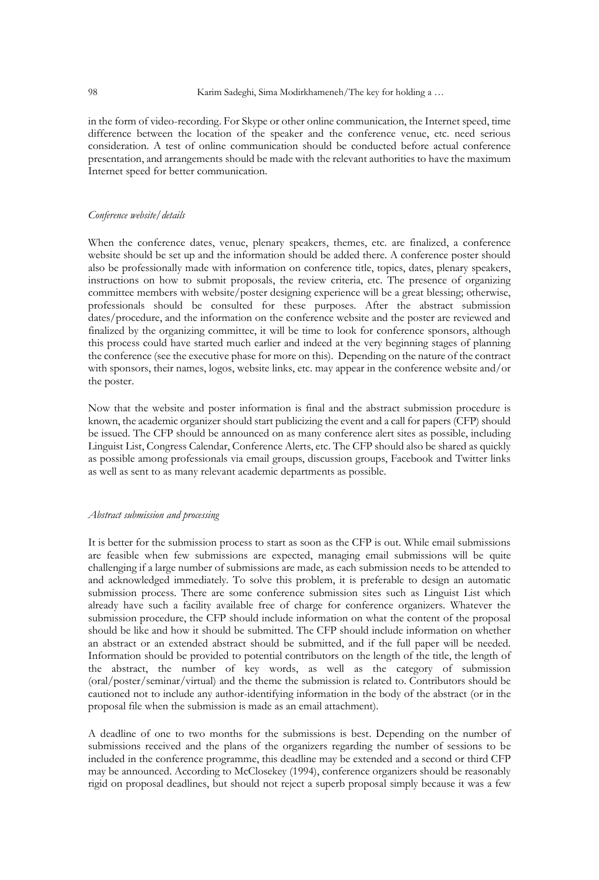in the form of video-recording. For Skype or other online communication, the Internet speed, time difference between the location of the speaker and the conference venue, etc. need serious consideration. A test of online communication should be conducted before actual conference presentation, and arrangements should be made with the relevant authorities to have the maximum Internet speed for better communication.

#### *Conference website/details*

When the conference dates, venue, plenary speakers, themes, etc. are finalized, a conference website should be set up and the information should be added there. A conference poster should also be professionally made with information on conference title, topics, dates, plenary speakers, instructions on how to submit proposals, the review criteria, etc. The presence of organizing committee members with website/poster designing experience will be a great blessing; otherwise, professionals should be consulted for these purposes. After the abstract submission dates/procedure, and the information on the conference website and the poster are reviewed and finalized by the organizing committee, it will be time to look for conference sponsors, although this process could have started much earlier and indeed at the very beginning stages of planning the conference (see the executive phase for more on this). Depending on the nature of the contract with sponsors, their names, logos, website links, etc. may appear in the conference website and/or the poster.

Now that the website and poster information is final and the abstract submission procedure is known, the academic organizer should start publicizing the event and a call for papers (CFP) should be issued. The CFP should be announced on as many conference alert sites as possible, including Linguist List, Congress Calendar, Conference Alerts, etc. The CFP should also be shared as quickly as possible among professionals via email groups, discussion groups, Facebook and Twitter links as well as sent to as many relevant academic departments as possible.

#### *Abstract submission and processing*

It is better for the submission process to start as soon as the CFP is out. While email submissions are feasible when few submissions are expected, managing email submissions will be quite challenging if a large number of submissions are made, as each submission needs to be attended to and acknowledged immediately. To solve this problem, it is preferable to design an automatic submission process. There are some conference submission sites such as Linguist List which already have such a facility available free of charge for conference organizers. Whatever the submission procedure, the CFP should include information on what the content of the proposal should be like and how it should be submitted. The CFP should include information on whether an abstract or an extended abstract should be submitted, and if the full paper will be needed. Information should be provided to potential contributors on the length of the title, the length of the abstract, the number of key words, as well as the category of submission (oral/poster/seminar/virtual) and the theme the submission is related to. Contributors should be cautioned not to include any author-identifying information in the body of the abstract (or in the proposal file when the submission is made as an email attachment).

A deadline of one to two months for the submissions is best. Depending on the number of submissions received and the plans of the organizers regarding the number of sessions to be included in the conference programme, this deadline may be extended and a second or third CFP may be announced. According to McClosekey (1994), conference organizers should be reasonably rigid on proposal deadlines, but should not reject a superb proposal simply because it was a few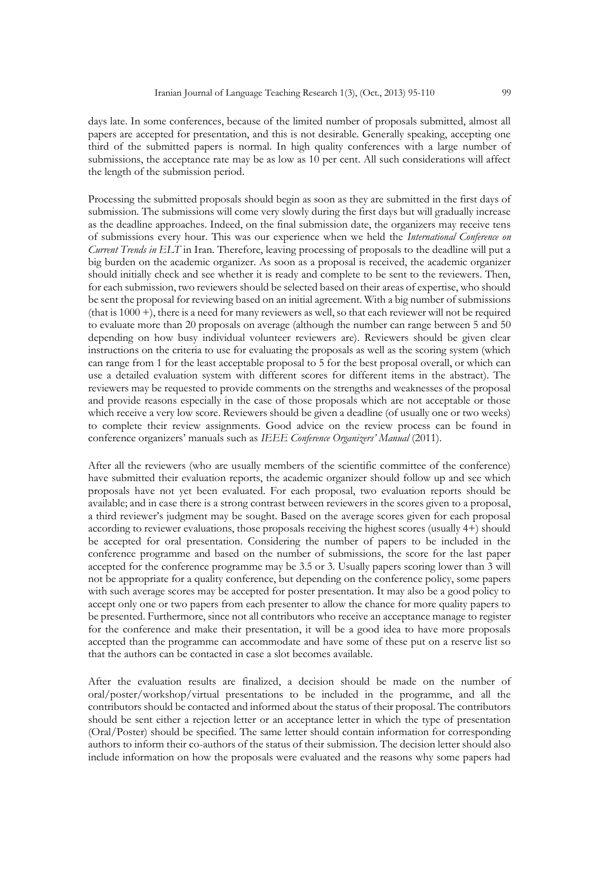days late. In some conferences, because of the limited number of proposals submitted, almost all papers are accepted for presentation, and this is not desirable. Generally speaking, accepting one third of the submitted papers is normal. In high quality conferences with a large number of submissions, the acceptance rate may be as low as 10 per cent. All such considerations will affect the length of the submission period.

Processing the submitted proposals should begin as soon as they are submitted in the first days of submission. The submissions will come very slowly during the first days but will gradually increase as the deadline approaches. Indeed, on the final submission date, the organizers may receive tens of submissions every hour. This was our experience when we held the *International Conference on Current Trends in ELT* in Iran. Therefore, leaving processing of proposals to the deadline will put a big burden on the academic organizer. As soon as a proposal is received, the academic organizer should initially check and see whether it is ready and complete to be sent to the reviewers. Then, for each submission, two reviewers should be selected based on their areas of expertise, who should be sent the proposal for reviewing based on an initial agreement. With a big number of submissions (that is 1000 +), there is a need for many reviewers as well, so that each reviewer will not be required to evaluate more than 20 proposals on average (although the number can range between 5 and 50 depending on how busy individual volunteer reviewers are). Reviewers should be given clear instructions on the criteria to use for evaluating the proposals as well as the scoring system (which can range from 1 for the least acceptable proposal to 5 for the best proposal overall, or which can use a detailed evaluation system with different scores for different items in the abstract). The reviewers may be requested to provide comments on the strengths and weaknesses of the proposal and provide reasons especially in the case of those proposals which are not acceptable or those which receive a very low score. Reviewers should be given a deadline (of usually one or two weeks) to complete their review assignments. Good advice on the review process can be found in conference organizers' manuals such as *IEEE Conference Organizers' Manual* (2011).

After all the reviewers (who are usually members of the scientific committee of the conference) have submitted their evaluation reports, the academic organizer should follow up and see which proposals have not yet been evaluated. For each proposal, two evaluation reports should be available; and in case there is a strong contrast between reviewers in the scores given to a proposal, a third reviewer's judgment may be sought. Based on the average scores given for each proposal according to reviewer evaluations, those proposals receiving the highest scores (usually 4+) should be accepted for oral presentation. Considering the number of papers to be included in the conference programme and based on the number of submissions, the score for the last paper accepted for the conference programme may be 3.5 or 3. Usually papers scoring lower than 3 will not be appropriate for a quality conference, but depending on the conference policy, some papers with such average scores may be accepted for poster presentation. It may also be a good policy to accept only one or two papers from each presenter to allow the chance for more quality papers to be presented. Furthermore, since not all contributors who receive an acceptance manage to register for the conference and make their presentation, it will be a good idea to have more proposals accepted than the programme can accommodate and have some of these put on a reserve list so that the authors can be contacted in case a slot becomes available.

After the evaluation results are finalized, a decision should be made on the number of oral/poster/workshop/virtual presentations to be included in the programme, and all the contributors should be contacted and informed about the status of their proposal. The contributors should be sent either a rejection letter or an acceptance letter in which the type of presentation (Oral/Poster) should be specified. The same letter should contain information for corresponding authors to inform their co-authors of the status of their submission. The decision letter should also include information on how the proposals were evaluated and the reasons why some papers had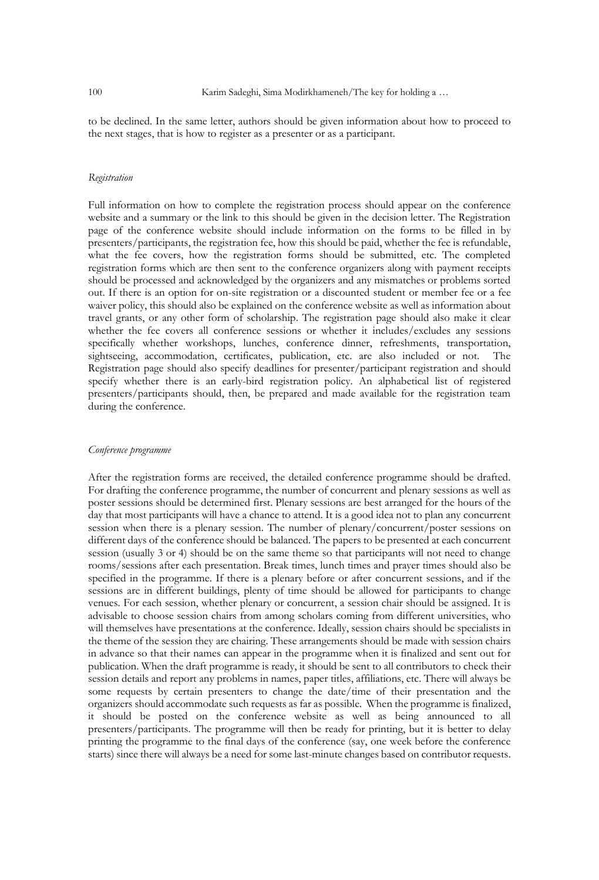to be declined. In the same letter, authors should be given information about how to proceed to the next stages, that is how to register as a presenter or as a participant.

## *Registration*

Full information on how to complete the registration process should appear on the conference website and a summary or the link to this should be given in the decision letter. The Registration page of the conference website should include information on the forms to be filled in by presenters/participants, the registration fee, how this should be paid, whether the fee is refundable, what the fee covers, how the registration forms should be submitted, etc. The completed registration forms which are then sent to the conference organizers along with payment receipts should be processed and acknowledged by the organizers and any mismatches or problems sorted out. If there is an option for on-site registration or a discounted student or member fee or a fee waiver policy, this should also be explained on the conference website as well as information about travel grants, or any other form of scholarship. The registration page should also make it clear whether the fee covers all conference sessions or whether it includes/excludes any sessions specifically whether workshops, lunches, conference dinner, refreshments, transportation, sightseeing, accommodation, certificates, publication, etc. are also included or not. The Registration page should also specify deadlines for presenter/participant registration and should specify whether there is an early-bird registration policy. An alphabetical list of registered presenters/participants should, then, be prepared and made available for the registration team during the conference.

#### *Conference programme*

After the registration forms are received, the detailed conference programme should be drafted. For drafting the conference programme, the number of concurrent and plenary sessions as well as poster sessions should be determined first. Plenary sessions are best arranged for the hours of the day that most participants will have a chance to attend. It is a good idea not to plan any concurrent session when there is a plenary session. The number of plenary/concurrent/poster sessions on different days of the conference should be balanced. The papers to be presented at each concurrent session (usually 3 or 4) should be on the same theme so that participants will not need to change rooms/sessions after each presentation. Break times, lunch times and prayer times should also be specified in the programme. If there is a plenary before or after concurrent sessions, and if the sessions are in different buildings, plenty of time should be allowed for participants to change venues. For each session, whether plenary or concurrent, a session chair should be assigned. It is advisable to choose session chairs from among scholars coming from different universities, who will themselves have presentations at the conference. Ideally, session chairs should be specialists in the theme of the session they are chairing. These arrangements should be made with session chairs in advance so that their names can appear in the programme when it is finalized and sent out for publication. When the draft programme is ready, it should be sent to all contributors to check their session details and report any problems in names, paper titles, affiliations, etc. There will always be some requests by certain presenters to change the date/time of their presentation and the organizers should accommodate such requests as far as possible. When the programme is finalized, it should be posted on the conference website as well as being announced to all presenters/participants. The programme will then be ready for printing, but it is better to delay printing the programme to the final days of the conference (say, one week before the conference starts) since there will always be a need for some last-minute changes based on contributor requests.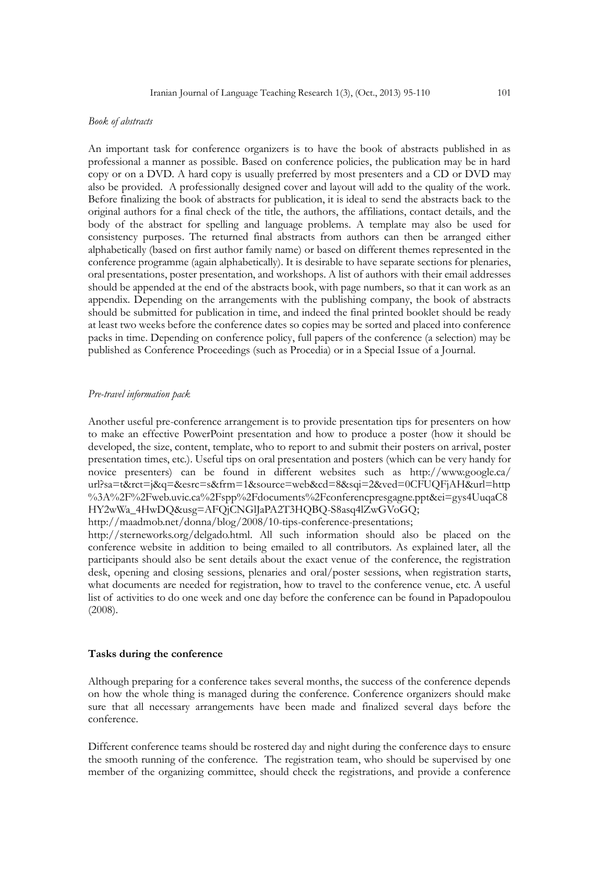#### *Book of abstracts*

An important task for conference organizers is to have the book of abstracts published in as professional a manner as possible. Based on conference policies, the publication may be in hard copy or on a DVD. A hard copy is usually preferred by most presenters and a CD or DVD may also be provided. A professionally designed cover and layout will add to the quality of the work. Before finalizing the book of abstracts for publication, it is ideal to send the abstracts back to the original authors for a final check of the title, the authors, the affiliations, contact details, and the body of the abstract for spelling and language problems. A template may also be used for consistency purposes. The returned final abstracts from authors can then be arranged either alphabetically (based on first author family name) or based on different themes represented in the conference programme (again alphabetically). It is desirable to have separate sections for plenaries, oral presentations, poster presentation, and workshops. A list of authors with their email addresses should be appended at the end of the abstracts book, with page numbers, so that it can work as an appendix. Depending on the arrangements with the publishing company, the book of abstracts should be submitted for publication in time, and indeed the final printed booklet should be ready at least two weeks before the conference dates so copies may be sorted and placed into conference packs in time. Depending on conference policy, full papers of the conference (a selection) may be published as Conference Proceedings (such as Procedia) or in a Special Issue of a Journal.

#### *Pre-travel information pack*

Another useful pre-conference arrangement is to provide presentation tips for presenters on how to make an effective PowerPoint presentation and how to produce a poster (how it should be developed, the size, content, template, who to report to and submit their posters on arrival, poster presentation times, etc.). Useful tips on oral presentation and posters (which can be very handy for novice presenters) can be found in different websites such as http://www.google.ca/ [url?sa=t&rct=j&q=&esrc=s&frm=1&source=web&cd=8&sqi=2&ved=0CFUQFjAH&url=http](http://www.google.ca/url?sa=t&rct=j&q=&esrc=s&frm=1&source=web&cd=8&sqi=2&ved=0CFUQFjAH&url=http%3A%2F%2Fweb.uvic.ca%2Fspp%2Fdocuments%2Fconferencpresgagne.ppt&ei=gys4UuqaC8HY2wWa_4HwDQ&usg=AFQjCNGlJaPA2T3HQBQ-S8asq4lZwGVoGQ) [%3A%2F%2Fweb.uvic.ca%2Fspp%2Fdocuments%2Fconferencpresgagne.ppt&ei=gys4UuqaC8](http://www.google.ca/url?sa=t&rct=j&q=&esrc=s&frm=1&source=web&cd=8&sqi=2&ved=0CFUQFjAH&url=http%3A%2F%2Fweb.uvic.ca%2Fspp%2Fdocuments%2Fconferencpresgagne.ppt&ei=gys4UuqaC8HY2wWa_4HwDQ&usg=AFQjCNGlJaPA2T3HQBQ-S8asq4lZwGVoGQ) [HY2wWa\\_4HwDQ&usg=AFQjCNGlJaPA2T3HQBQ-S8asq4lZwGVoGQ;](http://www.google.ca/url?sa=t&rct=j&q=&esrc=s&frm=1&source=web&cd=8&sqi=2&ved=0CFUQFjAH&url=http%3A%2F%2Fweb.uvic.ca%2Fspp%2Fdocuments%2Fconferencpresgagne.ppt&ei=gys4UuqaC8HY2wWa_4HwDQ&usg=AFQjCNGlJaPA2T3HQBQ-S8asq4lZwGVoGQ)

[http://maadmob.net/donna/blog/2008/10-tips-conference-presentations;](http://maadmob.net/donna/blog/2008/10-tips-conference-presentations) 

[http://sterneworks.org/delgado.html.](http://sterneworks.org/delgado.html) All such information should also be placed on the conference website in addition to being emailed to all contributors. As explained later, all the participants should also be sent details about the exact venue of the conference, the registration desk, opening and closing sessions, plenaries and oral/poster sessions, when registration starts, what documents are needed for registration, how to travel to the conference venue, etc. A useful list of activities to do one week and one day before the conference can be found in Papadopoulou (2008).

### **Tasks during the conference**

Although preparing for a conference takes several months, the success of the conference depends on how the whole thing is managed during the conference. Conference organizers should make sure that all necessary arrangements have been made and finalized several days before the conference.

Different conference teams should be rostered day and night during the conference days to ensure the smooth running of the conference. The registration team, who should be supervised by one member of the organizing committee, should check the registrations, and provide a conference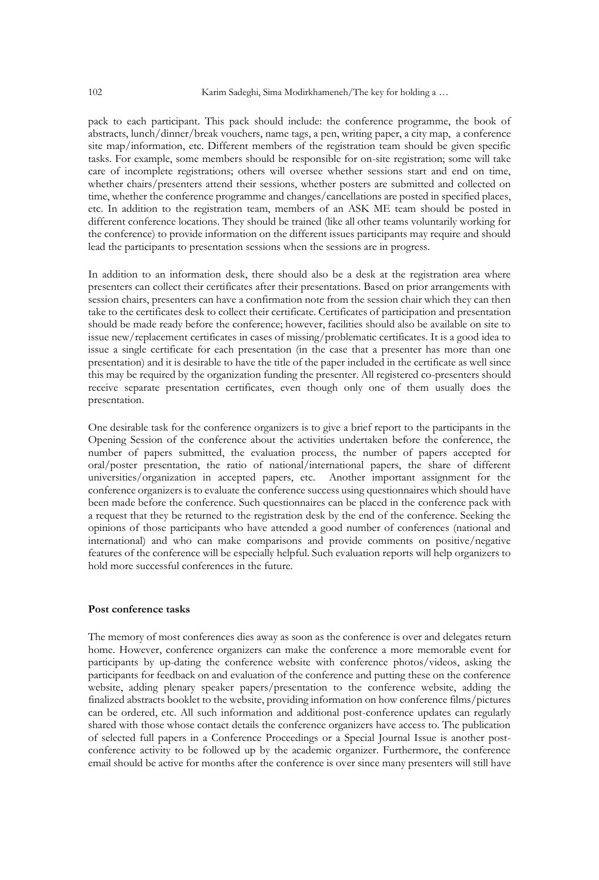pack to each participant. This pack should include: the conference programme, the book of abstracts, lunch/dinner/break vouchers, name tags, a pen, writing paper, a city map, a conference site map/information, etc. Different members of the registration team should be given specific tasks. For example, some members should be responsible for on-site registration; some will take care of incomplete registrations; others will oversee whether sessions start and end on time, whether chairs/presenters attend their sessions, whether posters are submitted and collected on time, whether the conference programme and changes/cancellations are posted in specified places, etc. In addition to the registration team, members of an ASK ME team should be posted in different conference locations. They should be trained (like all other teams voluntarily working for the conference) to provide information on the different issues participants may require and should lead the participants to presentation sessions when the sessions are in progress.

In addition to an information desk, there should also be a desk at the registration area where presenters can collect their certificates after their presentations. Based on prior arrangements with session chairs, presenters can have a confirmation note from the session chair which they can then take to the certificates desk to collect their certificate. Certificates of participation and presentation should be made ready before the conference; however, facilities should also be available on site to issue new/replacement certificates in cases of missing/problematic certificates. It is a good idea to issue a single certificate for each presentation (in the case that a presenter has more than one presentation) and it is desirable to have the title of the paper included in the certificate as well since this may be required by the organization funding the presenter. All registered co-presenters should receive separate presentation certificates, even though only one of them usually does the presentation.

One desirable task for the conference organizers is to give a brief report to the participants in the Opening Session of the conference about the activities undertaken before the conference, the number of papers submitted, the evaluation process, the number of papers accepted for oral/poster presentation, the ratio of national/international papers, the share of different universities/organization in accepted papers, etc. Another important assignment for the conference organizers is to evaluate the conference success using questionnaires which should have been made before the conference. Such questionnaires can be placed in the conference pack with a request that they be returned to the registration desk by the end of the conference. Seeking the opinions of those participants who have attended a good number of conferences (national and international) and who can make comparisons and provide comments on positive/negative features of the conference will be especially helpful. Such evaluation reports will help organizers to hold more successful conferences in the future.

### **Post conference tasks**

The memory of most conferences dies away as soon as the conference is over and delegates return home. However, conference organizers can make the conference a more memorable event for participants by up-dating the conference website with conference photos/videos, asking the participants for feedback on and evaluation of the conference and putting these on the conference website, adding plenary speaker papers/presentation to the conference website, adding the finalized abstracts booklet to the website, providing information on how conference films/pictures can be ordered, etc. All such information and additional post-conference updates can regularly shared with those whose contact details the conference organizers have access to. The publication of selected full papers in a Conference Proceedings or a Special Journal Issue is another postconference activity to be followed up by the academic organizer. Furthermore, the conference email should be active for months after the conference is over since many presenters will still have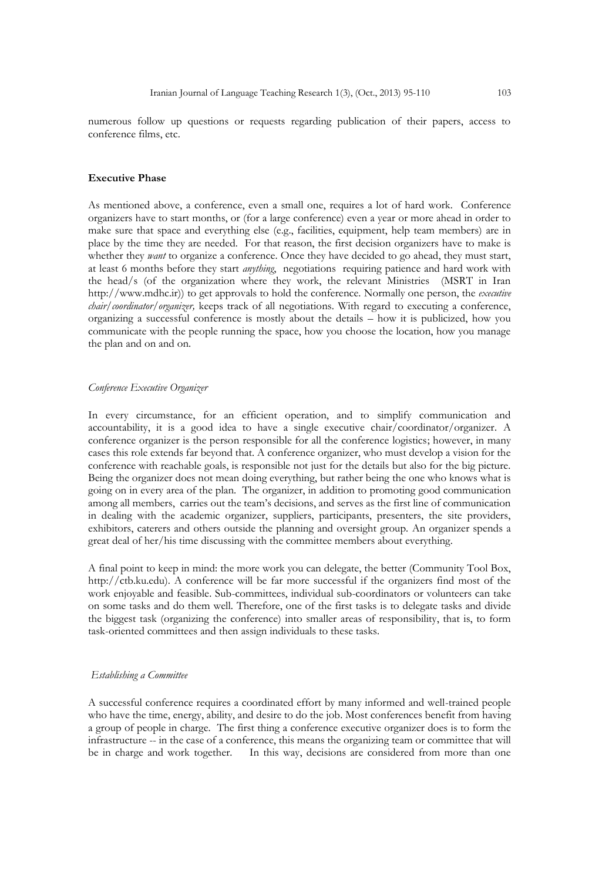numerous follow up questions or requests regarding publication of their papers, access to conference films, etc.

#### **Executive Phase**

As mentioned above, a conference, even a small one, requires a lot of hard work. Conference organizers have to start months, or (for a large conference) even a year or more ahead in order to make sure that space and everything else (e.g., facilities, equipment, help team members) are in place by the time they are needed. For that reason, the first decision organizers have to make is whether they *want* to organize a conference. Once they have decided to go ahead, they must start, at least 6 months before they start *anything*, negotiations requiring patience and hard work with the head/s (of the organization where they work, the relevant Ministries (MSRT in Iran [http://www.mdhc.ir\)](http://www.mdhc.ir/)) to get approvals to hold the conference. Normally one person, the *executive chair/coordinator/organizer,* keeps track of all negotiations. With regard to executing a conference, organizing a successful conference is mostly about the details – how it is publicized, how you communicate with the people running the space, how you choose the location, how you manage the plan and on and on.

#### *Conference Executive Organizer*

In every circumstance, for an efficient operation, and to simplify communication and accountability, it is a good idea to have a single executive chair/coordinator/organizer. A conference organizer is the person responsible for all the conference logistics; however, in many cases this role extends far beyond that. A conference organizer, who must develop a vision for the conference with reachable goals, is responsible not just for the details but also for the big picture. Being the organizer does not mean doing everything, but rather being the one who knows what is going on in every area of the plan. The organizer, in addition to promoting good communication among all members, carries out the team's decisions, and serves as the first line of communication in dealing with the academic organizer, suppliers, participants, presenters, the site providers, exhibitors, caterers and others outside the planning and oversight group. An organizer spends a great deal of her/his time discussing with the committee members about everything.

A final point to keep in mind: the more work you can delegate, the better (Community Tool Box, [http://ctb.ku.edu\)](http://ctb.ku.edu/). A conference will be far more successful if the organizers find most of the work enjoyable and feasible. Sub-committees, individual sub-coordinators or volunteers can take on some tasks and do them well. Therefore, one of the first tasks is to delegate tasks and divide the biggest task (organizing the conference) into smaller areas of responsibility, that is, to form task-oriented committees and then assign individuals to these tasks.

#### *Establishing a Committee*

A successful conference requires a coordinated effort by many informed and well-trained people who have the time, energy, ability, and desire to do the job. Most conferences benefit from having a group of people in charge. The first thing a conference executive organizer does is to form the infrastructure -- in the case of a conference, this means the organizing team or committee that will be in charge and work together. In this way, decisions are considered from more than one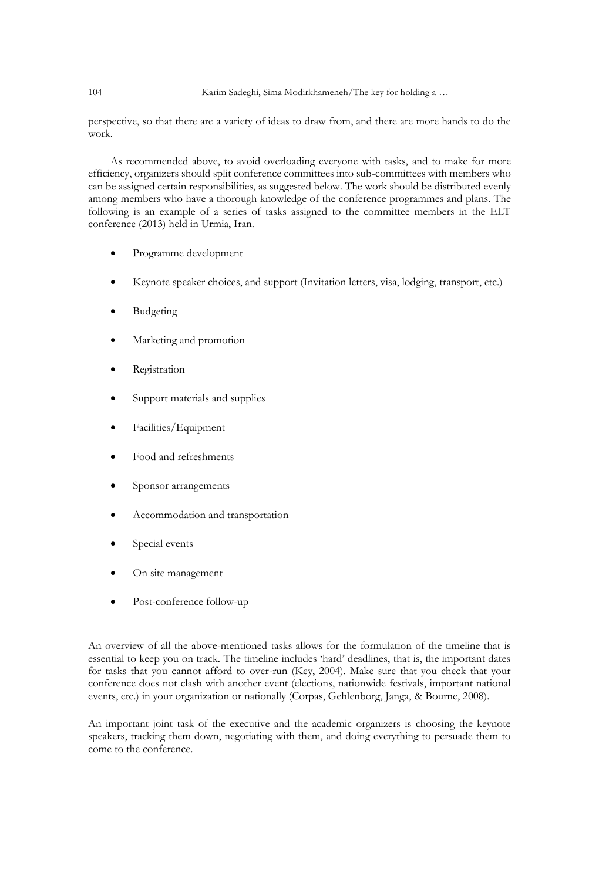## 104 Karim Sadeghi, Sima Modirkhameneh/The key for holding a …

perspective, so that there are a variety of ideas to draw from, and there are more hands to do the work.

As recommended above, to avoid overloading everyone with tasks, and to make for more efficiency, organizers should split conference committees into sub-committees with members who can be assigned certain responsibilities, as suggested below. The work should be distributed evenly among members who have a thorough knowledge of the conference programmes and plans. The following is an example of a series of tasks assigned to the committee members in the ELT conference (2013) held in Urmia, Iran.

- Programme development
- Keynote speaker choices, and support (Invitation letters, visa, lodging, transport, etc.)
- Budgeting
- Marketing and promotion
- Registration
- Support materials and supplies
- Facilities/Equipment
- Food and refreshments
- Sponsor arrangements
- Accommodation and transportation
- Special events
- On site management
- Post-conference follow-up

An overview of all the above-mentioned tasks allows for the formulation of the timeline that is essential to keep you on track. The timeline includes 'hard' deadlines, that is, the important dates for tasks that you cannot afford to over-run (Key, 2004). Make sure that you check that your conference does not clash with another event (elections, nationwide festivals, important national events, etc.) in your organization or nationally (Corpas, Gehlenborg, Janga, & Bourne, 2008).

An important joint task of the executive and the academic organizers is choosing the keynote speakers, tracking them down, negotiating with them, and doing everything to persuade them to come to the conference.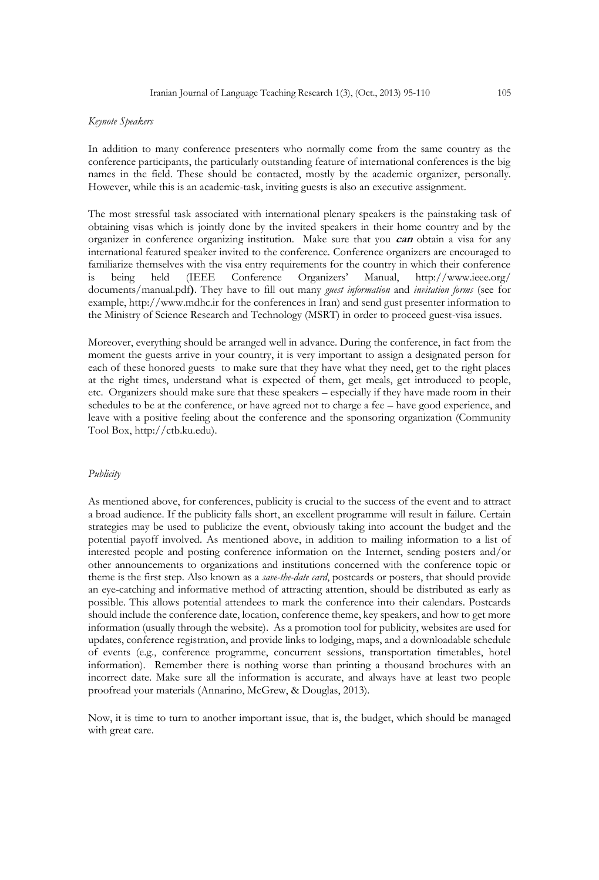#### *Keynote Speakers*

In addition to many conference presenters who normally come from the same country as the conference participants, the particularly outstanding feature of international conferences is the big names in the field. These should be contacted, mostly by the academic organizer, personally. However, while this is an academic-task, inviting guests is also an executive assignment.

The most stressful task associated with international plenary speakers is the painstaking task of obtaining visas which is jointly done by the invited speakers in their home country and by the organizer in conference organizing institution. Make sure that you **can** obtain a visa for any international featured speaker invited to the conference. Conference organizers are encouraged to familiarize themselves with the visa entry requirements for the country in which their conference is being held (IEEE Conference Organizers' Manual, [http://www.ieee.org/](http://www.ieee.org/%20documents/manual.pdf)  [documents/manual.pdf](http://www.ieee.org/%20documents/manual.pdf)**)**. They have to fill out many *guest information* and *invitation forms* (see for example, [http://www.mdhc.ir](http://www.mdhc.ir/) for the conferences in Iran) and send gust presenter information to the Ministry of Science Research and Technology (MSRT) in order to proceed guest-visa issues.

Moreover, everything should be arranged well in advance. During the conference, in fact from the moment the guests arrive in your country, it is very important to assign a designated person for each of these honored guests to make sure that they have what they need, get to the right places at the right times, understand what is expected of them, get meals, get introduced to people, etc. Organizers should make sure that these speakers – especially if they have made room in their schedules to be at the conference, or have agreed not to charge a fee – have good experience, and leave with a positive feeling about the conference and the sponsoring organization (Community Tool Box, [http://ctb.ku.edu\)](http://ctb.ku.edu/).

#### *Publicity*

As mentioned above, for conferences, publicity is crucial to the success of the event and to attract a broad audience. If the publicity falls short, an excellent programme will result in failure. Certain strategies may be used to publicize the event, obviously taking into account the budget and the potential payoff involved. As mentioned above, in addition to mailing information to a list of interested people and posting conference information on the Internet, sending posters and/or other announcements to organizations and institutions concerned with the conference topic or theme is the first step. Also known as a *save-the-date card*, postcards or posters, that should provide an eye-catching and informative method of attracting attention, should be distributed as early as possible. This allows potential attendees to mark the conference into their calendars. Postcards should include the conference date, location, conference theme, key speakers, and how to get more information (usually through the website). As a promotion tool for publicity, websites are used for updates, conference registration, and provide links to lodging, maps, and a downloadable schedule of events (e.g., conference programme, concurrent sessions, transportation timetables, hotel information). Remember there is nothing worse than printing a thousand brochures with an incorrect date. Make sure all the information is accurate, and always have at least two people proofread your materials (Annarino, McGrew, & Douglas, 2013).

Now, it is time to turn to another important issue, that is, the budget, which should be managed with great care.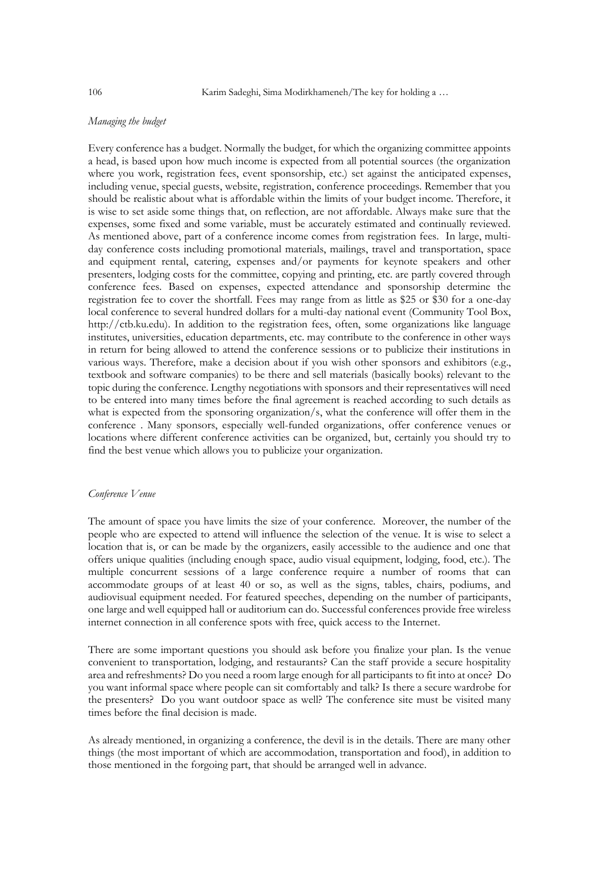## *Managing the budget*

Every conference has a budget. Normally the budget, for which the organizing committee appoints a head, is based upon how much income is expected from all potential sources (the organization where you work, registration fees, event sponsorship, etc.) set against the anticipated expenses, including venue, special guests, website, registration, conference proceedings. Remember that you should be realistic about what is affordable within the limits of your budget income. Therefore, it is wise to set aside some things that, on reflection, are not affordable. Always make sure that the expenses, some fixed and some variable, must be accurately estimated and continually reviewed. As mentioned above, part of a conference income comes from registration fees. In large, multiday conference costs including promotional materials, mailings, travel and transportation, space and equipment rental, catering, expenses and/or payments for keynote speakers and other presenters, lodging costs for the committee, copying and printing, etc. are partly covered through conference fees. Based on expenses, expected attendance and sponsorship determine the registration fee to cover the shortfall. Fees may range from as little as \$25 or \$30 for a one-day local conference to several hundred dollars for a multi-day national event (Community Tool Box, [http://ctb.ku.edu\)](http://ctb.ku.edu/). In addition to the registration fees, often, some organizations like language institutes, universities, education departments, etc. may contribute to the conference in other ways in return for being allowed to attend the conference sessions or to publicize their institutions in various ways. Therefore, make a decision about if you wish other sponsors and exhibitors (e.g., textbook and software companies) to be there and sell materials (basically books) relevant to the topic during the conference. Lengthy negotiations with sponsors and their representatives will need to be entered into many times before the final agreement is reached according to such details as what is expected from the sponsoring organization/s, what the conference will offer them in the conference . Many sponsors, especially well-funded organizations, offer conference venues or locations where different conference activities can be organized, but, certainly you should try to find the best venue which allows you to publicize your organization.

#### *Conference Venue*

The amount of space you have limits the size of your conference. Moreover, the number of the people who are expected to attend will influence the selection of the venue. It is wise to select a location that is, or can be made by the organizers, easily accessible to the audience and one that offers unique qualities (including enough space, audio visual equipment, lodging, food, etc.). The multiple concurrent sessions of a large conference require a number of rooms that can accommodate groups of at least 40 or so, as well as the signs, tables, chairs, podiums, and audiovisual equipment needed. For featured speeches, depending on the number of participants, one large and well equipped hall or auditorium can do. Successful conferences provide free wireless internet connection in all conference spots with free, quick access to the Internet.

There are some important questions you should ask before you finalize your plan. Is the venue convenient to transportation, lodging, and restaurants? Can the staff provide a secure hospitality area and refreshments? Do you need a room large enough for all participants to fit into at once? Do you want informal space where people can sit comfortably and talk? Is there a secure wardrobe for the presenters? Do you want outdoor space as well? The conference site must be visited many times before the final decision is made.

As already mentioned, in organizing a conference, the devil is in the details. There are many other things (the most important of which are accommodation, transportation and food), in addition to those mentioned in the forgoing part, that should be arranged well in advance.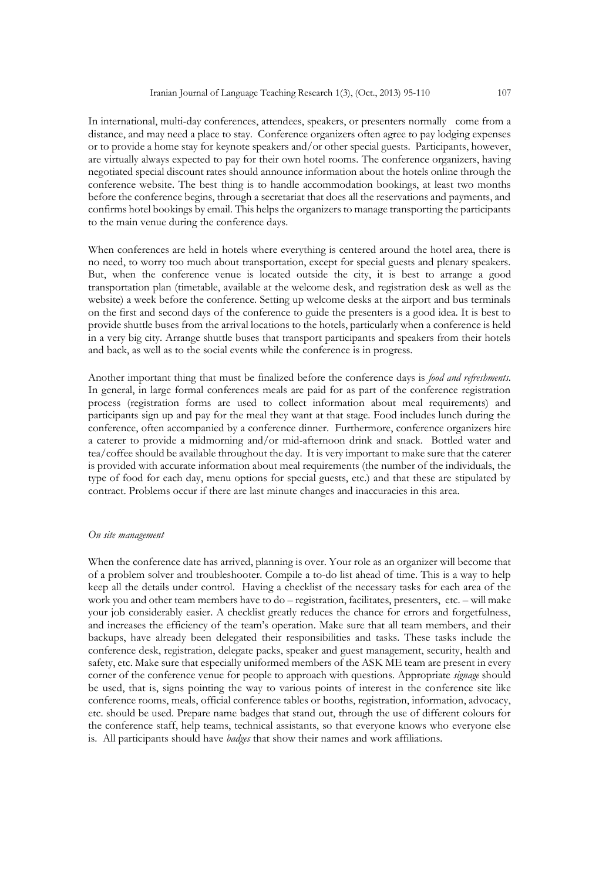In international, multi-day conferences, attendees, speakers, or presenters normally come from a distance, and may need a place to stay. Conference organizers often agree to pay lodging expenses or to provide a home stay for keynote speakers and/or other special guests. Participants, however, are virtually always expected to pay for their own hotel rooms. The conference organizers, having negotiated special discount rates should announce information about the hotels online through the conference website. The best thing is to handle accommodation bookings, at least two months before the conference begins, through a secretariat that does all the reservations and payments, and confirms hotel bookings by email. This helps the organizers to manage transporting the participants to the main venue during the conference days.

When conferences are held in hotels where everything is centered around the hotel area, there is no need, to worry too much about transportation, except for special guests and plenary speakers. But, when the conference venue is located outside the city, it is best to arrange a good transportation plan (timetable, available at the welcome desk, and registration desk as well as the website) a week before the conference. Setting up welcome desks at the airport and bus terminals on the first and second days of the conference to guide the presenters is a good idea. It is best to provide shuttle buses from the arrival locations to the hotels, particularly when a conference is held in a very big city. Arrange shuttle buses that transport participants and speakers from their hotels and back, as well as to the social events while the conference is in progress.

Another important thing that must be finalized before the conference days is *food and refreshments.* In general, in large formal conferences meals are paid for as part of the conference registration process (registration forms are used to collect information about meal requirements) and participants sign up and pay for the meal they want at that stage. Food includes lunch during the conference, often accompanied by a conference dinner. Furthermore, conference organizers hire a caterer to provide a midmorning and/or mid-afternoon drink and snack. Bottled water and tea/coffee should be available throughout the day. It is very important to make sure that the caterer is provided with accurate information about meal requirements (the number of the individuals, the type of food for each day, menu options for special guests, etc.) and that these are stipulated by contract. Problems occur if there are last minute changes and inaccuracies in this area.

#### *On site management*

When the conference date has arrived, planning is over. Your role as an organizer will become that of a problem solver and troubleshooter. Compile a to-do list ahead of time. This is a way to help keep all the details under control. Having a checklist of the necessary tasks for each area of the work you and other team members have to do – registration, facilitates, presenters, etc. – will make your job considerably easier. A checklist greatly reduces the chance for errors and forgetfulness, and increases the efficiency of the team's operation. Make sure that all team members, and their backups, have already been delegated their responsibilities and tasks. These tasks include the conference desk, registration, delegate packs, speaker and guest management, security, health and safety, etc. Make sure that especially uniformed members of the ASK ME team are present in every corner of the conference venue for people to approach with questions. Appropriate *signage* should be used, that is, signs pointing the way to various points of interest in the conference site like conference rooms, meals, official conference tables or booths, registration, information, advocacy, etc. should be used. Prepare name badges that stand out, through the use of different colours for the conference staff, help teams, technical assistants, so that everyone knows who everyone else is. All participants should have *badges* that show their names and work affiliations.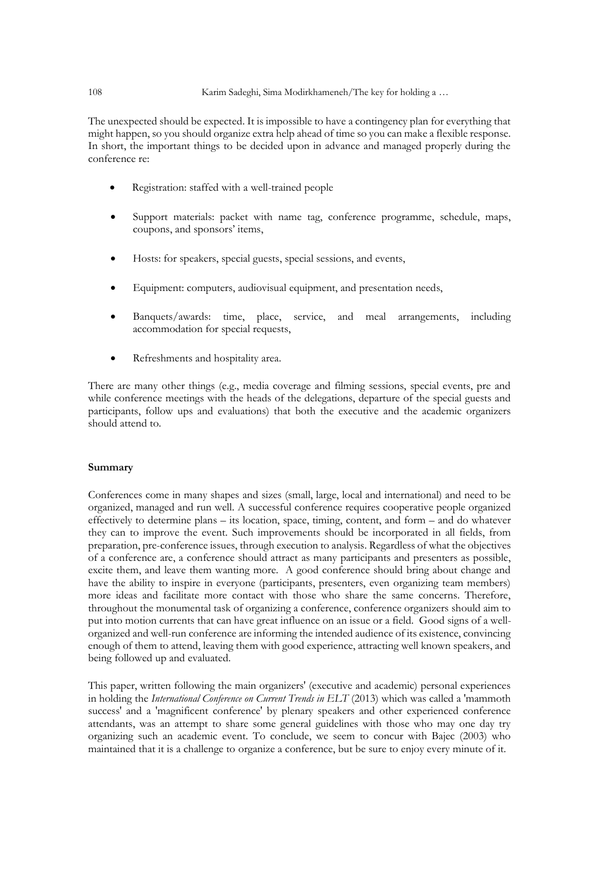## 108 Karim Sadeghi, Sima Modirkhameneh/The key for holding a …

The unexpected should be expected. It is impossible to have a contingency plan for everything that might happen, so you should organize extra help ahead of time so you can make a flexible response. In short, the important things to be decided upon in advance and managed properly during the conference re:

- Registration: staffed with a well-trained people
- Support materials: packet with name tag, conference programme, schedule, maps, coupons, and sponsors' items,
- Hosts: for speakers, special guests, special sessions, and events,
- Equipment: computers, audiovisual equipment, and presentation needs,
- Banquets/awards: time, place, service, and meal arrangements, including accommodation for special requests,
- Refreshments and hospitality area.

There are many other things (e.g., media coverage and filming sessions, special events, pre and while conference meetings with the heads of the delegations, departure of the special guests and participants, follow ups and evaluations) that both the executive and the academic organizers should attend to.

## **Summary**

Conferences come in many shapes and sizes (small, large, local and international) and need to be organized, managed and run well. A successful conference requires cooperative people organized effectively to determine plans – its location, space, timing, content, and form – and do whatever they can to improve the event. Such improvements should be incorporated in all fields, from preparation, pre-conference issues, through execution to analysis. Regardless of what the objectives of a conference are, a conference should attract as many participants and presenters as possible, excite them, and leave them wanting more. A good conference should bring about change and have the ability to inspire in everyone (participants, presenters, even organizing team members) more ideas and facilitate more contact with those who share the same concerns. Therefore, throughout the monumental task of organizing a conference, conference organizers should aim to put into motion currents that can have great influence on an issue or a field. Good signs of a wellorganized and well-run conference are informing the intended audience of its existence, convincing enough of them to attend, leaving them with good experience, attracting well known speakers, and being followed up and evaluated.

This paper, written following the main organizers' (executive and academic) personal experiences in holding the *International Conference on Current Trends in ELT* (2013) which was called a 'mammoth success' and a 'magnificent conference' by plenary speakers and other experienced conference attendants, was an attempt to share some general guidelines with those who may one day try organizing such an academic event. To conclude, we seem to concur with Bajec (2003) who maintained that it is a challenge to organize a conference, but be sure to enjoy every minute of it.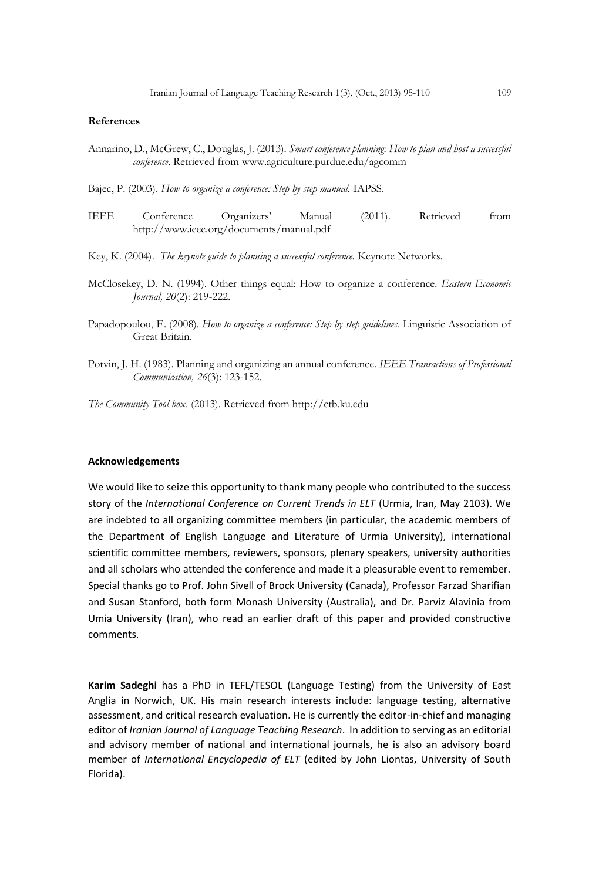#### **References**

Annarino, D., McGrew, C., Douglas, J. (2013). *Smart conference planning: How to plan and host a successful conference*. Retrieved fro[m www.agriculture.purdue.edu/agcomm](http://www.agriculture.purdue.edu/agcomm)

Bajec, P. (2003). *How to organize a conference: Step by step manual.* IAPSS.

IEEE Conference Organizers' Manual (2011). Retrieved from <http://www.ieee.org/documents/manual.pdf>

Key, K. (2004). *The keynote guide to planning a successful conference.* Keynote Networks.

- McClosekey, D. N. (1994). Other things equal: How to organize a conference. *Eastern Economic Journal, 20*(2): 219-222.
- Papadopoulou, E. (2008). *How to organize a conference: Step by step guidelines*. Linguistic Association of Great Britain.
- Potvin, J. H. (1983). Planning and organizing an annual conference. *IEEE Transactions of Professional Communication, 26*(3): 123-152.
- *The Community Tool box*. (2013). Retrieved from [http://ctb.ku.edu](http://ctb.ku.edu/)

#### **Acknowledgements**

We would like to seize this opportunity to thank many people who contributed to the success story of the *International Conference on Current Trends in ELT* (Urmia, Iran, May 2103). We are indebted to all organizing committee members (in particular, the academic members of the Department of English Language and Literature of Urmia University), international scientific committee members, reviewers, sponsors, plenary speakers, university authorities and all scholars who attended the conference and made it a pleasurable event to remember. Special thanks go to Prof. John Sivell of Brock University (Canada), Professor Farzad Sharifian and Susan Stanford, both form Monash University (Australia), and Dr. Parviz Alavinia from Umia University (Iran), who read an earlier draft of this paper and provided constructive comments.

**Karim Sadeghi** has a PhD in TEFL/TESOL (Language Testing) from the [University](http://www.uea.ac.uk/) of East [Anglia](http://www.uea.ac.uk/) in Norwich, UK. His main research interests include: language testing, alternative assessment, and critical research evaluation. He is currently the editor-in-chief and managing editor of *Iranian Journal of Language Teaching Research*. In addition to serving as an editorial and advisory member of national and international journals, he is also an advisory board member of *International Encyclopedia of ELT* (edited by John Liontas, University of South Florida).